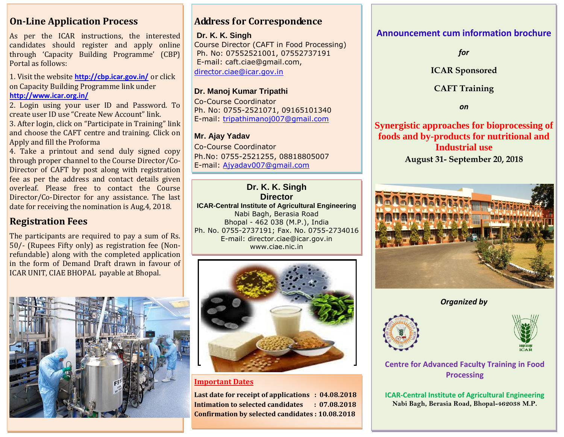**On-Line Application Process** 

As per the ICAR instructions, the interested candidates should register and apply online through 'Capacity Building Programme' (CBP) Portal as follows:

1. Visit the website **http://cbp.icar.gov.in/** or click on Capacity Building Programme link under **<http://www.icar.org.in/>**

2. Login using your user ID and Password. To create user ID use "Create New Account" link.

3. After login, click on "Participate in Training" link and choose the CAFT centre and training. Click on Apply and fill the Proforma

4. Take a printout and send duly signed copy through proper channel to the Course Director/Co-Director of CAFT by post along with registration fee as per the address and contact details given overleaf. Please free to contact the Course Director/Co-Director for any assistance. The last date for receiving the nomination is Aug,4, 2018.

# **Registration Fees**

The participants are required to pay a sum of Rs. 50/- (Rupees Fifty only) as registration fee (Nonrefundable) along with the completed application in the form of Demand Draft drawn in favour of ICAR UNIT, CIAE BHOPAL payable at Bhopal.



# **Address for Correspondence**

#### **Dr. K. K. Singh**

Course Director (CAFT in Food Processing) Ph. No: 07552521001, 07552737191 E-mail: caft.ciae@gmail.com, [director.ciae@icar.gov.in](mailto:director.ciae@icar.gov.in)

#### **Dr. Manoj Kumar Tripathi**

Co-Course Coordinator Ph. No: 0755-2521071, 09165101340 E-mail: [tripathimanoj007@gmail.com](mailto:tripathimanoj007@gmail.com)

#### **Mr. Ajay Yadav**

Co-Course Coordinator Ph.No: 0755-2521255, 08818805007 E-mail: [Ajyadav007@gmail.com](mailto:Ajyadav007@gmail.com)

**Dr. K. K. Singh Director ICAR-Central Institute of Agricultural Engineering** Nabi Bagh, Berasia Road Bhopal - 462 038 (M.P.), India Ph. No. 0755-2737191; Fax. No. 0755-2734016 E-mail: director.ciae@icar.gov.in www.ciae.nic.in



**Important Dates**

**Last date for receipt of applications : 04.08.2018 Intimation to selected candidates : 07.08.2018 Confirmation by selected candidates : 10.08.2018**

## **Announcement cum information brochure**

*for*

**ICAR Sponsored**

#### **CAFT Training**

*on*

**Synergistic approaches for bioprocessing of foods and by-products for nutritional and Industrial use August 31- September 20, 2018**



*Organized by*





**Centre for Advanced Faculty Training in Food Processing**

**ICAR-Central Institute of Agricultural Engineering Nabi Bagh, Berasia Road, Bhopal-462038 M.P.**